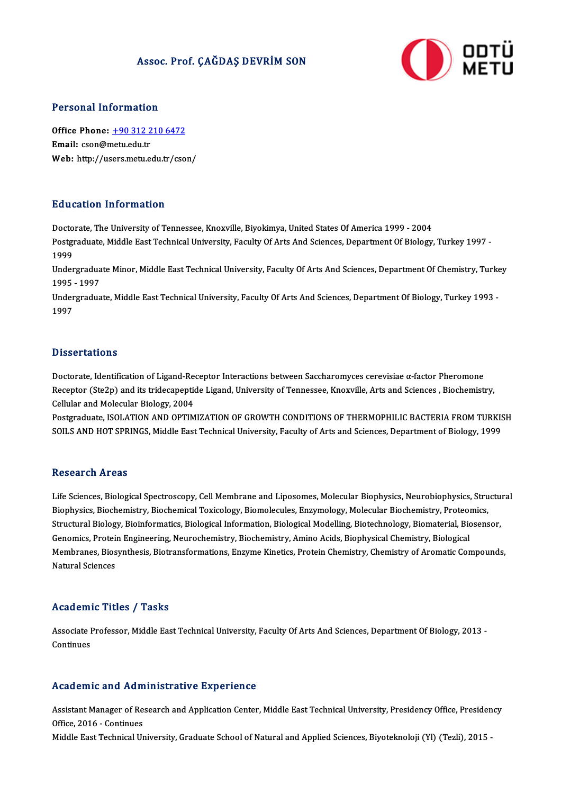## Assoc. Prof. ÇAĞDAŞ DEVRİM SON



### Personal Information

Personal Information<br>Office Phone: <u>+90 312 210 6472</u><br>Email: con@matu.edu.tr office Phone: <u>+90 312 2</u><br>Email: cson@metu.edu.tr<br>Web: http://ueers.metu.e Office Phone: <u>+90 312 210 6472</u><br>Email: cson@metu.edu.tr<br>Web: http://us[ers.metu.edu.tr/cso](tel:+90 312 210 6472)n/ Web: http://users.metu.edu.tr/cson/<br>Education Information

Doctorate, The University of Tennessee, Knoxville, Biyokimya, United States Of America 1999 - 2004 Pu d'ederen Timor inderen<br>Doctorate, The University of Tennessee, Knoxville, Biyokimya, United States Of America 1999 - 2004<br>Postgraduate, Middle East Technical University, Faculty Of Arts And Sciences, Department Of Biolo Docto<br>Postgi<br>1999<br>Under Postgraduate, Middle East Technical University, Faculty Of Arts And Sciences, Department Of Biology, Turkey 1997<br>1999<br>Undergraduate Minor, Middle East Technical University, Faculty Of Arts And Sciences, Department Of Chemi

1999<br>Undergradua<br>1995 - 1997<br>Undergradua Undergraduate Minor, Middle East Technical University, Faculty Of Arts And Sciences, Department Of Chemistry, Turke<br>1995 - 1997<br>Undergraduate, Middle East Technical University, Faculty Of Arts And Sciences, Department Of B

1995 - 1997<br>Undergraduate, Middle East Technical University, Faculty Of Arts And Sciences, Department Of Biology, Turkey 1993 -<br>1997

### **Dissertations**

Doctorate, Identification of Ligand-Receptor Interactions between Saccharomyces cerevisiae α-factor Pheromone B 15561 tatrons<br>Doctorate, Identification of Ligand-Receptor Interactions between Saccharomyces cerevisiae α-factor Pheromone<br>Receptor (Ste2p) and its tridecapeptide Ligand, University of Tennessee, Knoxville, Arts and Sc Doctorate, Identification of Ligand-Re<br>Receptor (Ste2p) and its tridecapeptic<br>Cellular and Molecular Biology, 2004<br>Restandante ISOLATION AND OPTIM Receptor (Ste2p) and its tridecapeptide Ligand, University of Tennessee, Knoxville, Arts and Sciences , Biochemistry,<br>Cellular and Molecular Biology, 2004<br>Postgraduate, ISOLATION AND OPTIMIZATION OF GROWTH CONDITIONS OF TH

Cellular and Molecular Biology, 2004<br>Postgraduate, ISOLATION AND OPTIMIZATION OF GROWTH CONDITIONS OF THERMOPHILIC BACTERIA FROM TURKIS<br>SOILS AND HOT SPRINGS, Middle East Technical University, Faculty of Arts and Sciences, SOILS AND HOT SPRINGS, Middle East Technical University, Faculty of Arts and Sciences, Department of Biology, 1999<br>Research Areas

Research Areas<br>Life Sciences, Biological Spectroscopy, Cell Membrane and Liposomes, Molecular Biophysics, Neurobiophysics, Structural<br>Biophysics, Riochamistry, Riochamical Tovisology, Riomalagyles, Engymology, Molecular Ri resseur en 11 eus<br>Life Sciences, Biological Spectroscopy, Cell Membrane and Liposomes, Molecular Biophysics, Neurobiophysics, Stru<br>Biophysics, Biochemistry, Biochemical Toxicology, Biomolecules, Enzymology, Molecular Bioch Life Sciences, Biological Spectroscopy, Cell Membrane and Liposomes, Molecular Biophysics, Neurobiophysics, Structure<br>Biophysics, Biochemistry, Biochemical Toxicology, Biomolecules, Enzymology, Molecular Biochemistry, Prot Biophysics, Biochemistry, Biochemical Toxicology, Biomolecules, Enzymology, Molecular Biochemistry, Proteomics,<br>Structural Biology, Bioinformatics, Biological Information, Biological Modelling, Biotechnology, Biomaterial, Structural Biology, Bioinformatics, Biological Information, Biological Modelling, Biotechnology, Biomaterial, Biosensor,<br>Genomics, Protein Engineering, Neurochemistry, Biochemistry, Amino Acids, Biophysical Chemistry, Biol Genomics, Protei<br>Membranes, Bios<br>Natural Sciences

## Natural Sciences<br>Academic Titles / Tasks

Academic Titles / Tasks<br>Associate Professor, Middle East Technical University, Faculty Of Arts And Sciences, Department Of Biology, 2013 -<br>Centinues Associate I<br>Continues

## Academic and Administrative Experience

Academic and Administrative Experience<br>Assistant Manager of Research and Application Center, Middle East Technical University, Presidency Office, Presidency<br>Office 2016, Continues Assistant Manager of Reference<br>Office, 2016 - Continues<br>Middle Fost Technical Un Office, 2016 - Continues<br>Middle East Technical University, Graduate School of Natural and Applied Sciences, Biyoteknoloji (Yl) (Tezli), 2015 -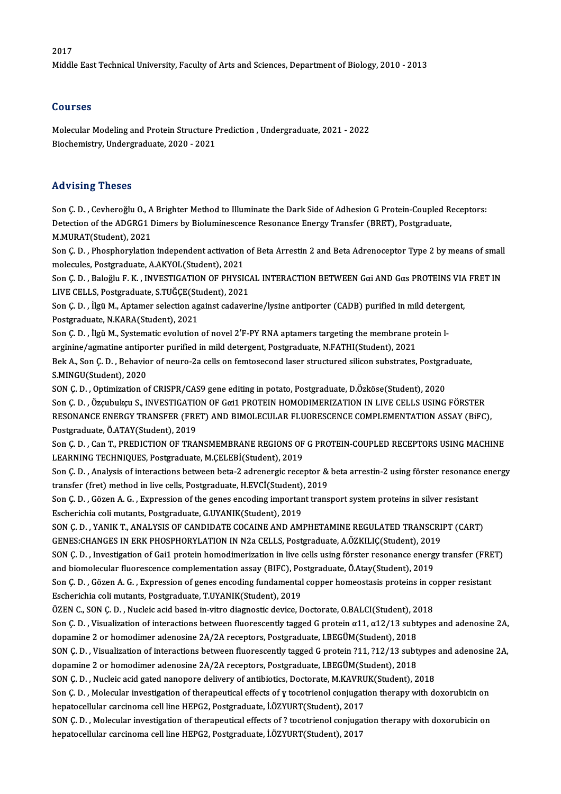#### 2017

Middle East Technical University, Faculty of Arts and Sciences, Department of Biology, 2010 - 2013

#### Courses

Courses<br>Molecular Modeling and Protein Structure Prediction , Undergraduate, 2021 - 2022<br>Piechemistry, Undergraduate, 2020, 2021 Sourbos<br>Molecular Modeling and Protein Structure F<br>Biochemistry, Undergraduate, 2020 - 2021 Biochemistry, Undergraduate, 2020 - 2021<br>Advising Theses

Son Ç.D., Cevheroğlu O., A Brighter Method to Illuminate the Dark Side of Adhesion G Protein-Coupled Receptors: rra viorny i rrobos<br>Son Ç. D. , Cevheroğlu O., A Brighter Method to Illuminate the Dark Side of Adhesion G Protein-Coupled Re<br>Detection of the ADGRG1 Dimers by Bioluminescence Resonance Energy Transfer (BRET), Postgraduate Son Ç. D. , Cevheroğlu O., A<br>Detection of the ADGRG1 I<br>M.MURAT(Student), 2021<br>Sen G. D. – Pheepherulation Detection of the ADGRG1 Dimers by Bioluminescence Resonance Energy Transfer (BRET), Postgraduate,<br>M.MURAT(Student), 2021<br>Son Ç. D. , Phosphorylation independent activation of Beta Arrestin 2 and Beta Adrenoceptor Type 2 by

M.MURAT(Student), 2021<br>Son Ç. D. , Phosphorylation independent activation of Beta Arrestin 2 and Beta Adrenoceptor Type 2 by means of small<br>molecules, Postgraduate, A.AKYOL(Student), 2021 Son Ç. D. , Phosphorylation independent activation of Beta Arrestin 2 and Beta Adrenoceptor Type 2 by means of small<br>molecules, Postgraduate, A.AKYOL(Student), 2021<br>Son Ç. D. , Baloğlu F. K. , INVESTIGATION OF PHYSICAL IN

molecules, Postgraduate, A.AKYOL(Student), 2021<br>Son Ç. D. , Baloğlu F. K. , INVESTIGATION OF PHYSIC.<br>LIVE CELLS, Postgraduate, S.TUĞÇE(Student), 2021<br>Son G. D. , İlgü M. Antamer selection against çadayer Son Ç. D. , Baloğlu F. K. , INVESTIGATION OF PHYSICAL INTERACTION BETWEEN Gαi AND Gαs PROTEINS VIA<br>LIVE CELLS, Postgraduate, S.TUĞÇE(Student), 2021<br>Son Ç. D. , İlgü M., Aptamer selection against cadaverine/lysine antiport

LIVE CELLS, Postgraduate, S.TUĞÇE(St.<br>Son Ç. D. , İlgü M., Aptamer selection ag<br>Postgraduate, N.KARA(Student), 2021<br>Son C. D. , İlgü M. Systematic avolution Son Ç. D. , İlgü M., Aptamer selection against cadaverine/lysine antiporter (CADB) purified in mild deterg<br>Postgraduate, N.KARA(Student), 2021<br>Son Ç. D. , İlgü M., Systematic evolution of novel 2′F-PY RNA aptamers targetin

Postgraduate, N.KARA(Student), 2021<br>Son Ç. D. , İlgü M., Systematic evolution of novel 2'F-PY RNA aptamers targeting the membrane protein l-Son Ç. D. , İlgü M., Systematic evolution of novel 2'F-PY RNA aptamers targeting the membrane protein l-<br>arginine/agmatine antiporter purified in mild detergent, Postgraduate, N.FATHI(Student), 2021<br>Bek A., Son Ç. D. , Beh

arginine/agmatine antiporter purified in mild detergent, Postgraduate, N.FATHI(Student), 2021<br>Bek A., Son Ç. D. , Behavior of neuro-2a cells on femtosecond laser structured silicon substrates, Postgra<br>S.MINGU(Student), 202 Bek A., Son Ç. D. , Behavior of neuro-2a cells on femtosecond laser structured silicon substrates, Postgra<br>S.MINGU(Student), 2020<br>SON Ç. D. , Optimization of CRISPR/CAS9 gene editing in potato, Postgraduate, D.Özköse(Stude

Son Ç.D., Özçubukçu S., INVESTIGATION OF Gαi1 PROTEIN HOMODIMERIZATION IN LIVE CELLS USING FÖRSTER SON Ç. D. , Optimization of CRISPR/CAS9 gene editing in potato, Postgraduate, D.Özköse(Student), 2020<br>Son Ç. D. , Özçubukçu S., INVESTIGATION OF Gαi1 PROTEIN HOMODIMERIZATION IN LIVE CELLS USING FÖRSTER<br>RESONANCE ENERGY TR Son Ç. D. , Özçubukçu S., INVESTIGATIC<br>RESONANCE ENERGY TRANSFER (FRE<br>Postgraduate, Ö.ATAY(Student), 2019<br>Sen G. D. Gen T. PREDICTION OF TRA Postgraduate, Ö.ATAY(Student), 2019<br>Son Ç. D. , Can T., PREDICTION OF TRANSMEMBRANE REGIONS OF G PROTEIN-COUPLED RECEPTORS USING MACHINE

LEARNING TECHNIQUES, Postgraduate, M.ÇELEBİ(Student), 2019 Son Ç. D. , Can T., PREDICTION OF TRANSMEMBRANE REGIONS OF G PROTEIN-COUPLED RECEPTORS USING MACHINE<br>LEARNING TECHNIQUES, Postgraduate, M.ÇELEBİ(Student), 2019<br>Son Ç. D. , Analysis of interactions between beta-2 adrenergic

LEARNING TECHNIQUES, Postgraduate, M.ÇELEBİ(Student), 2019<br>Son Ç. D. , Analysis of interactions between beta-2 adrenergic receptor &<br>transfer (fret) method in live cells, Postgraduate, H.EVCİ(Student), 2019<br>Son G. D., Göre Son Ç. D. , Analysis of interactions between beta-2 adrenergic receptor & beta arrestin-2 using förster resonance<br>transfer (fret) method in live cells, Postgraduate, H.EVCl(Student), 2019<br>Son Ç. D. , Gözen A. G. , Expressi

transfer (fret) method in live cells, Postgraduate, H.EVCİ(Student),<br>Son Ç. D. , Gözen A. G. , Expression of the genes encoding important<br>Escherichia coli mutants, Postgraduate, G.UYANIK(Student), 2019<br>SON G. D., VANIK T. Son Ç. D. , Gözen A. G. , Expression of the genes encoding important transport system proteins in silver resistant<br>Escherichia coli mutants, Postgraduate, G.UYANIK(Student), 2019<br>SON Ç. D. , YANIK T., ANALYSIS OF CANDIDATE

Escherichia coli mutants, Postgraduate, G.UYANIK(Student), 2019<br>SON Ç. D. , YANIK T., ANALYSIS OF CANDIDATE COCAINE AND AMPHETAMINE REGULATED TRANSCRI<br>GENES:CHANGES IN ERK PHOSPHORYLATION IN N2a CELLS, Postgraduate, A.ÖZKI

SON Ç. D. , YANIK T., ANALYSIS OF CANDIDATE COCAINE AND AMPHETAMINE REGULATED TRANSCRIPT (CART)<br>GENES:CHANGES IN ERK PHOSPHORYLATION IN N2a CELLS, Postgraduate, A.ÖZKILIÇ(Student), 2019<br>SON Ç. D. , Investigation of Gai1 pr GENES:CHANGES IN ERK PHOSPHORYLATION IN N2a CELLS, Postgraduate, A.ÖZKILIÇ(Student), 201<br>SON Ç. D. , Investigation of Gai1 protein homodimerization in live cells using förster resonance energ<br>and biomolecular fluorescence SON Ç. D. , Investigation of Gai1 protein homodimerization in live cells using förster resonance energy transfer (FRE<br>and biomolecular fluorescence complementation assay (BIFC), Postgraduate, Ö.Atay(Student), 2019<br>Son Ç. D

and biomolecular fluorescence complementation assay (BIFC), Po<br>Son Ç. D. , Gözen A. G. , Expression of genes encoding fundamental<br>Escherichia coli mutants, Postgraduate, T.UYANIK(Student), 2019<br>ÖZEN C. SON C. D., Nuglais a Son Ç. D. , Gözen A. G. , Expression of genes encoding fundamental copper homeostasis proteins in contract the<br>Escherichia coli mutants, Postgraduate, T.UYANIK(Student), 2019<br>ÖZEN C., SON Ç. D. , Nucleic acid based in-vitr

Escherichia coli mutants, Postgraduate, T.UYANIK(Student), 2019<br>ÖZEN C., SON Ç. D. , Nucleic acid based in-vitro diagnostic device, Doctorate, O.BALCI(Student), 2018<br>Son Ç. D. , Visualization of interactions between fluor ÖZEN C., SON Ç. D. , Nucleic acid based in-vitro diagnostic device, Doctorate, O.BALCI(Student), 2016<br>Son Ç. D. , Visualization of interactions between fluorescently tagged G protein α11, α12/13 subt<br>dopamine 2 or homodim Son Ç. D. , Visualization of interactions between fluorescently tagged G protein  $\alpha$ 11,  $\alpha$ 12/13 subtypes and adenosine 2A, dopamine 2 or homodimer adenosine 2A/2A receptors, Postgraduate, I.BEGÜM(Student), 2018<br>SON Ç.

dopamine 2 or homodimer adenosine 2A/2A receptors, Postgraduate, I.BEGÜM(Student), 2018<br>SON Ç. D. , Visualization of interactions between fluorescently tagged G protein ?11, ?12/13 subt<br>dopamine 2 or homodimer adenosine 2A SON Ç. D. , Visualization of interactions between fluorescently tagged G protein ?11, ?12/13 subtypes<br>dopamine 2 or homodimer adenosine 2A/2A receptors, Postgraduate, I.BEGÜM(Student), 2018<br>SON Ç. D. , Nucleic acid gated n

SON Ç. D., Nucleic acid gated nanopore delivery of antibiotics, Doctorate, M.KAVRUK(Student), 2018

Son Ç.D., Molecular investigation of therapeutical effects of y tocotrienol conjugation therapy with doxorubicin on<br>hepatocellular carcinoma cell line HEPG2, Postgraduate, İ.ÖZYURT(Student), 2017

SON Ç.D., Molecular investigation of therapeutical effects of ? tocotrienol conjugation therapy with doxorubicin on hepatocellular carcinoma cell line HEPG2, Postgraduate, İ.ÖZYURT(Student), 2017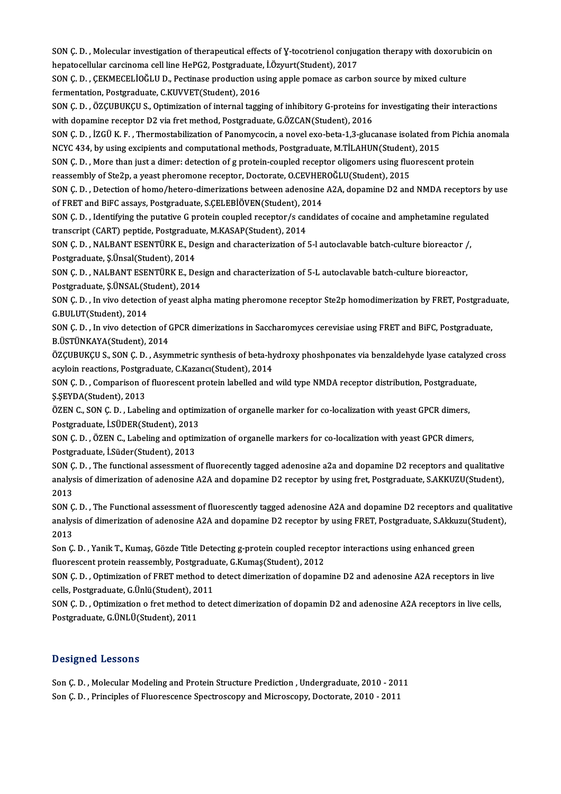SON Ç. D. , Molecular investigation of therapeutical effects of Y-tocotrienol conjugation therapy with doxorubicin on<br>hanatogellular canginoma cell line HePC2, Restanduate J Ömnut(Student), 2017 SON Ç. D. , Molecular investigation of therapeutical effects of Y-tocotrienol conjug<br>hepatocellular carcinoma cell line HePG2, Postgraduate, İ.Özyurt(Student), 2017<br>SON G. D., GEKMECELİOČLU D. Postinase produstion using ap SON Ç. D. , Molecular investigation of therapeutical effects of Y-tocotrienol conjugation therapy with doxorubi<br>hepatocellular carcinoma cell line HePG2, Postgraduate, İ.Özyurt(Student), 2017<br>SON Ç. D. , ÇEKMECELİOĞLU D.,

hepatocellular carcinoma cell line HePG2, Postgraduate, İ.Özyurt(Student), 2017<br>SON Ç. D. , ÇEKMECELİOĞLU D., Pectinase production using apple pomace as carbon source by mixed culture<br>fermentation, Postgraduate, C.KUVVET(S SON Ç. D. , ÇEKMECELİOĞLU D., Pectinase production using apple pomace as carbon source by mixed culture<br>fermentation, Postgraduate, C.KUVVET(Student), 2016<br>SON Ç. D. , ÖZÇUBUKÇU S., Optimization of internal tagging of inhi

fermentation, Postgraduate, C.KUVVET(Student), 2016<br>SON Ç. D. , ÖZÇUBUKÇU S., Optimization of internal tagging of inhibitory G-proteins fo<br>with dopamine receptor D2 via fret method, Postgraduate, G.ÖZCAN(Student), 2016<br>SON SON Ç. D. , ÖZÇUBUKÇU S., Optimization of internal tagging of inhibitory G-proteins for investigating their interactions<br>with dopamine receptor D2 via fret method, Postgraduate, G.ÖZCAN(Student), 2016<br>SON Ç. D. , İZGÜ K. F

with dopamine receptor D2 via fret method, Postgraduate, G.ÖZCAN(Student), 2016<br>SON Ç. D. , İZGÜ K. F. , Thermostabilization of Panomycocin, a novel exo-beta-1,3-glucanase isolated fro<br>NCYC 434, by using excipients and com SON Ç. D. , İZGÜ K. F. , Thermostabilization of Panomycocin, a novel exo-beta-1,3-glucanase isolated from Pichia<br>NCYC 434, by using excipients and computational methods, Postgraduate, M.TİLAHUN(Student), 2015<br>SON Ç. D. , M

NCYC 434, by using excipients and computational methods, Postgraduate, M.TİLAHUN(Student)<br>SON Ç. D. , More than just a dimer: detection of g protein-coupled receptor oligomers using fluoreassembly of Ste2p, a yeast pheromo

SON Ç. D. , More than just a dimer: detection of g protein-coupled receptor oligomers using fluorescent protein<br>reassembly of Ste2p, a yeast pheromone receptor, Doctorate, O.CEVHEROĞLU(Student), 2015<br>SON Ç. D. , Detection reassembly of Ste2p, a yeast pheromone receptor, Doctorate, O.CEVHER<br>SON Ç. D. , Detection of homo/hetero-dimerizations between adenosine<br>of FRET and BiFC assays, Postgraduate, S.ÇELEBİÖVEN(Student), 2014<br>SON G. D. Jdontif SON Ç. D. , Detection of homo/hetero-dimerizations between adenosine A2A, dopamine D2 and NMDA receptors by<br>of FRET and BiFC assays, Postgraduate, S.ÇELEBİÖVEN(Student), 2014<br>SON Ç. D. , Identifying the putative G protein

of FRET and BiFC assays, Postgraduate, S.ÇELEBİÖVEN(Student), 20<br>SON Ç. D. , Identifying the putative G protein coupled receptor/s car<br>transcript (CART) peptide, Postgraduate, M.KASAP(Student), 2014<br>SON G. D., NALBANT ESEN SON Ç. D. , Identifying the putative G protein coupled receptor/s candidates of cocaine and amphetamine regul<br>transcript (CART) peptide, Postgraduate, M.KASAP(Student), 2014<br>SON Ç. D. , NALBANT ESENTÜRK E., Design and char

transcript (CART) peptide, Postgraduate, S.Ünsal(Student), 2014<br>Postgraduate, Ş.Ünsal(Student), 2014<br>SON G. D., NALBANT ESENTÜRK E. De SON Ç. D. , NALBANT ESENTÜRK E., Design and characterization of 5-l autoclavable batch-culture bioreactor /<br>Postgraduate, Ş.Ünsal(Student), 2014<br>SON Ç. D. , NALBANT ESENTÜRK E., Design and characterization of 5-L autoclava

Postgraduate, Ş.Ünsal(Student), 2014<br>SON Ç. D. , NALBANT ESENTÜRK E., Design and characterization of 5-L autoclavable batch-culture bioreactor,<br>Postgraduate, S.ÜNSAL(Student), 2014 SON Ç. D. , NALBANT ESENTÜRK E., Design and characterization of 5-L autoclavable batch-culture bioreactor,<br>Postgraduate, Ş.ÜNSAL(Student), 2014<br>SON Ç. D. , In vivo detection of yeast alpha mating pheromone receptor Ste2p h

Postgraduate, Ş.ÜNSAL(St<br>SON Ç. D. , In vivo detectic<br>G.BULUT(Student), 2014<br>SON G. D. , In vivo detectic SON Ç. D. , In vivo detection of yeast alpha mating pheromone receptor Ste2p homodimerization by FRET, Postgradu<br>G.BULUT(Student), 2014<br>SON Ç. D. , In vivo detection of GPCR dimerizations in Saccharomyces cerevisiae using

G.BULUT(Student), 2014<br>SON Ç. D. , In vivo detection of GPCR dimerizations in Saccharomyces cerevisiae using FRET and BiFC, Postgraduate,<br>B.ÜSTÜNKAYA(Student), 2014 SON Ç. D. , In vivo detection of GPCR dimerizations in Saccharomyces cerevisiae using FRET and BiFC, Postgraduate,<br>B.ÜSTÜNKAYA(Student), 2014<br>ÖZÇUBUKÇU S., SON Ç. D. , Asymmetric synthesis of beta-hydroxy phoshponates via

B.ÜSTÜNKAYA(Student), 2014<br>ÖZÇUBUKÇU S., SON Ç. D. , Asymmetric synthesis of beta-hy<br>acyloin reactions, Postgraduate, C.Kazancı(Student), 2014<br>SON G. D., Comparison of fluoressent protein labelled and ÖZÇUBUKÇU S., SON Ç. D. , Asymmetric synthesis of beta-hydroxy phoshponates via benzaldehyde lyase catalyze<br>acyloin reactions, Postgraduate, C.Kazancı(Student), 2014<br>SON Ç. D. , Comparison of fluorescent protein labelled a

acyloin reactions, Postgraduate, C.Kazancı(Student), 2014<br>SON Ç. D. , Comparison of fluorescent protein labelled and<br>Ş.ŞEYDA(Student), 2013

SON Ç. D. , Comparison of fluorescent protein labelled and wild type NMDA receptor distribution, Postgraduate,<br>S.SEYDA(Student), 2013<br>ÖZEN C., SON Ç. D. , Labeling and optimization of organelle marker for co-localization w ÖZEN C., SON C. D., Labeling and optimization of organelle marker for co-localization with yeast GPCR dimers, ÖZEN C., SON Ç. D. , Labeling and optimization of organelle marker for co-localization with yeast GPCR dimers,<br>Postgraduate, İ.SÜDER(Student), 2013<br>SON Ç. D. , ÖZEN C., Labeling and optimization of organelle markers for co

Postgraduate, İ.SÜDER(Student), 2013<br>SON Ç. D. , ÖZEN C., Labeling and optin<br>Postgraduate, İ.Süder(Student), 2013<br>SON G. D. ...The functional assessment s SON Ç. D. , ÖZEN C., Labeling and optimization of organelle markers for co-localization with yeast GPCR dimers,<br>Postgraduate, İ.Süder(Student), 2013<br>SON Ç. D. , The functional assessment of fluorecently tagged adenosine a2

Postgraduate, İ.Süder(Student), 2013<br>SON Ç. D. , The functional assessment of fluorecently tagged adenosine a2a and dopamine D2 receptors and qualitative<br>analysis of dimerization of adenosine A2A and dopamine D2 receptor b SON Ç<br>analys<br>2013<br>SON C analysis of dimerization of adenosine A2A and dopamine D2 receptor by using fret, Postgraduate, S.AKKUZU(Student),<br>2013<br>SON Ç. D. , The Functional assessment of fluorescently tagged adenosine A2A and dopamine D2 receptors

2013<br>SON Ç. D. , The Functional assessment of fluorescently tagged adenosine A2A and dopamine D2 receptors and qualitativ<br>analysis of dimerization of adenosine A2A and dopamine D2 receptor by using FRET, Postgraduate, S.Ak SON Ç<br>analys<br>2013<br>Son G analysis of dimerization of adenosine A2A and dopamine D2 receptor by using FRET, Postgraduate, S.Akkuzu(St<br>2013<br>Son Ç. D. , Yanik T., Kumaş, Gözde Title Detecting g-protein coupled receptor interactions using enhanced gre

2013<br>Son Ç. D. , Yanik T., Kumaş, Gözde Title Detecting g-protein coupled recep<br>fluorescent protein reassembly, Postgraduate, G.Kumaş(Student), 2012<br>SON G. D., Optimiration of EBET method to detect dimerization of denam Son Ç. D. , Yanik T., Kumaş, Gözde Title Detecting g-protein coupled receptor interactions using enhanced green<br>fluorescent protein reassembly, Postgraduate, G.Kumaş(Student), 2012<br>SON Ç. D. , Optimization of FRET method t

fluorescent protein reassembly, Postgraduate, G.Kumaş(Student), 2012<br>SON Ç. D. , Optimization of FRET method to detect dimerization of dopamine D2 and adenosine A2A receptors in live<br>cells, Postgraduate, G.Ünlü(Student), 2 SON Ç. D. , Optimization of FRET method to detect dimerization of dopamine D2 and adenosine A2A receptors in live<br>cells, Postgraduate, G.Ünlü(Student), 2011<br>SON Ç. D. , Optimization o fret method to detect dimerization of

cells, Postgraduate, G.Ünlü(Student), 2<br>SON Ç. D. , Optimization o fret method t<br>Postgraduate, G.ÜNLÜ(Student), 2011 Postgraduate, G.ÜNLÜ(Student), 2011<br>Designed Lessons

**Designed Lessons<br>Son Ç. D. , Molecular Modeling and Protein Structure Prediction , Undergraduate, 2010 - 2011**<br>Son G. D. , Principles of Elyensesence Spectressony and Microssony, Dectents, 2010 - 2011 السور المستحدة المستحدة العربية Son Ç. D. , Molecular Modeling and Protein Structure Prediction , Undergraduate, 2010 - 2011<br>Son Ç. D. , Principles of Fluorescence Spectroscopy and Microscopy, Doctorate, 2010 - 2011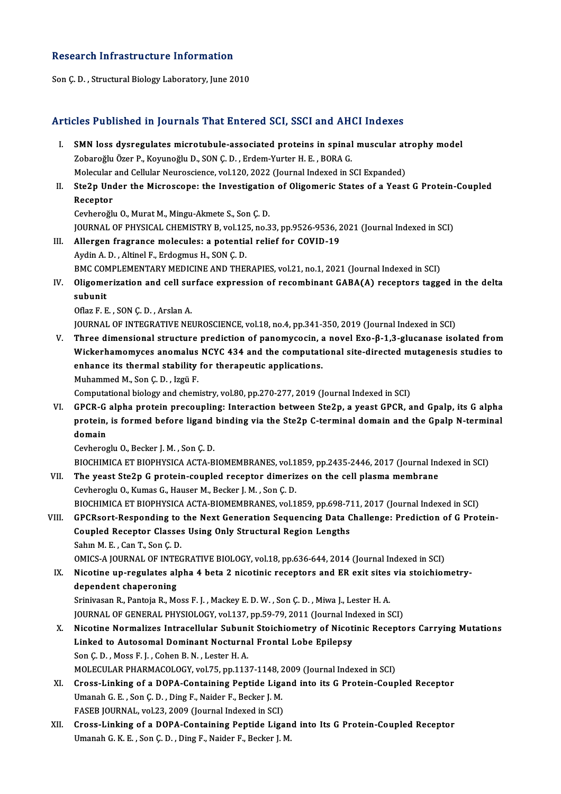### Research Infrastructure Information

Son Ç.D., Structural Biology Laboratory, June 2010

## Articles Published in Journals That Entered SCI, SSCI and AHCI Indexes

- rticles Published in Journals That Entered SCI, SSCI and AHCI Indexes<br>I. SMN loss dysregulates microtubule-associated proteins in spinal muscular atrophy model<br>Tehereğlu Özer B. Keynneğlu D. SON G.D. Erdem Yurtan H.E. BORA zobaroğlu Özer P., Koyunoğlu D., SON Ç. D., Erdem-Yurter H. E., BORA G.<br>Zobaroğlu Özer P., Koyunoğlu D., SON Ç. D., Erdem-Yurter H. E., BORA G.<br>Malagylar and Callylar Nauroggianea 1120, 2022 (Jaurnal Indoved in S SMN loss dysregulates microtubule-associated proteins in spinal muscular at<br>Zobaroğlu Özer P., Koyunoğlu D., SON Ç. D. , Erdem-Yurter H. E. , BORA G.<br>Molecular and Cellular Neuroscience, vol.120, 2022 (Journal Indexed in S Zobaroğlu Özer P., Koyunoğlu D., SON Ç. D. , Erdem-Yurter H. E. , BORA G.<br>Molecular and Cellular Neuroscience, vol.120, 2022 (Journal Indexed in SCI Expanded)<br>II. Ste2p Under the Microscope: the Investigation of Oligomeric
- Molecular<br>Ste2p Une<br>Receptor<br>Ceybereĕl Ste2p Under the Microscope: the Investigation<br>Receptor<br>Cevheroğlu O., Murat M., Mingu-Akmete S., Son Ç. D.<br>JOUPNAL OE PHYSICAL CHEMISTRY B. vol 125, no 3

Receptor<br>Cevheroğlu O., Murat M., Mingu-Akmete S., Son Ç. D.<br>JOURNAL OF PHYSICAL CHEMISTRY B, vol.125, no.33, pp.9526-9536, 2021 (Journal Indexed in SCI) Cevheroğlu O., Murat M., Mingu-Akmete S., Son Ç. D.<br>JOURNAL OF PHYSICAL CHEMISTRY B, vol.125, no.33, pp.9526-9536, 2<br>III. Allergen fragrance molecules: a potential relief for COVID-19<br>Aydin A.D., Altinol E. Erdozmus H. SON

- **JOURNAL OF PHYSICAL CHEMISTRY B, vol.12!**<br>Allergen fragrance molecules: a potentia<br>Aydin A. D. , Altinel F., Erdogmus H., SON Ç. D.<br>PMC COMPLEMENTARY MEDICINE AND TURI Aydin A. D., Altinel F., Erdogmus H., SON Ç. D.<br>BMC COMPLEMENTARY MEDICINE AND THERAPIES, vol.21, no.1, 2021 (Journal Indexed in SCI) Aydin A. D. , Altinel F., Erdogmus H., SON Ç. D.<br>BMC COMPLEMENTARY MEDICINE AND THERAPIES, vol.21, no.1, 2021 (Journal Indexed in SCI)<br>IV. Oligomerization and cell surface expression of recombinant GABA(A) receptors tagged
- BMC CON<br>Oligome<br>subunit<br>Ofleg E. E Oligomerization and cell sul<br>subunit<br>Oflaz F. E. , SON Ç. D. , Arslan A.<br>JOUPNAL OF INTECRATIVE NEI subunit<br>Oflaz F. E. , SON Ç. D. , Arslan A.<br>JOURNAL OF INTEGRATIVE NEUROSCIENCE, vol.18, no.4, pp.341-350, 2019 (Journal Indexed in SCI)

Oflaz F. E., SON Ç. D., Arslan A.<br>JOURNAL OF INTEGRATIVE NEUROSCIENCE, vol.18, no.4, pp.341-350, 2019 (Journal Indexed in SCI)<br>V. Three dimensional structure prediction of panomycocin, a novel Exo-β-1,3-glucanase isolated JOURNAL OF INTEGRATIVE NEUROSCIENCE, vol.18, no.4, pp.341-350, 2019 (Journal Indexed in SCI)<br>Three dimensional structure prediction of panomycocin, a novel Exo-β-1,3-glucanase isolated from<br>Wickerhamomyces anomalus NCYC 43 Three dimensional structure prediction of panomycocin, a<br>Wickerhamomyces anomalus NCYC 434 and the computation<br>enhance its thermal stability for therapeutic applications.<br>Muhammed M. Son C. D. Jazü E. Wickerhamomyces anomalus<br>enhance its thermal stability<br>Muhammed M., Son Ç. D. , Izgü F.<br>Computational biology and sham

Muhammed M., Son Ç. D. , Izgü F.<br>Computational biology and chemistry, vol.80, pp.270-277, 2019 (Journal Indexed in SCI)

VI. GPCR-G alpha protein precoupling: Interaction between Ste2p, a yeast GPCR, and Gpalp, its G alpha Computational biology and chemistry, vol.80, pp.270-277, 2019 (Journal Indexed in SCI)<br>GPCR-G alpha protein precoupling: Interaction between Ste2p, a yeast GPCR, and Gpalp, its G alpha<br>protein, is formed before ligand bind GPCR-G<br>protein,<br>domain protein, is formed before ligand<br>domain<br>Cevheroglu O., Becker J. M. , Son Ç. D.<br>PIOCHIMICA ET PIOPHYSICA ACTA P

domain<br>Cevheroglu O., Becker J. M. , Son Ç. D.<br>BIOCHIMICA ET BIOPHYSICA ACTA-BIOMEMBRANES, vol.1859, pp.2435-2446, 2017 (Journal Indexed in SCI)<br>The yeast Sta?n C protein, sounled recenter dimerizes on the sell plasma memb Cevheroglu O., Becker J. M. , Son Ç. D.<br>BIOCHIMICA ET BIOPHYSICA ACTA-BIOMEMBRANES, vol.1859, pp.2435-2446, 2017 (Journal Incornel II)<br>VII. The yeast Ste2p G protein-coupled receptor dimerizes on the cell plasma membrane<br>C BIOCHIMICA ET BIOPHYSICA ACTA-BIOMEMBRANES, vol.1<br>The yeast Ste2p G protein-coupled receptor dimeriz<br>Cevheroglu O., Kumas G., Hauser M., Becker J. M. , Son Ç. D.<br>PIOCHIMICA ET PIOPHYSICA ACTA PIOMEMPRANES, vol.1

The yeast Ste2p G protein-coupled receptor dimerizes on the cell plasma membrane<br>Cevheroglu O., Kumas G., Hauser M., Becker J. M. , Son Ç. D.<br>BIOCHIMICA ET BIOPHYSICA ACTA-BIOMEMBRANES, vol.1859, pp.698-711, 2017 (Journal Cevheroglu O., Kumas G., Hauser M., Becker J. M. , Son C. D.<br>BIOCHIMICA ET BIOPHYSICA ACTA-BIOMEMBRANES, vol.1859, pp.698-711, 2017 (Journal Indexed in SCI)<br>VIII. GPCRsort-Responding to the Next Generation Sequencing Data

BIOCHIMICA ET BIOPHYSICA ACTA-BIOMEMBRANES, vol.1859, pp.698-7<br>GPCRsort-Responding to the Next Generation Sequencing Data C<br>Coupled Receptor Classes Using Only Structural Region Lengths<br>Sahin M. E., Can.T. San.C. D. **GPCRsort-Responding to<br>Coupled Receptor Classe:**<br>Sahın M. E. , Can T., Son Ç. D.<br>OMICS A JOUPNAL OF INTEG Coupled Receptor Classes Using Only Structural Region Lengths<br>Sahın M. E. , Can T., Son Ç. D.<br>OMICS-A JOURNAL OF INTEGRATIVE BIOLOGY, vol.18, pp.636-644, 2014 (Journal Indexed in SCI)<br>Nisatine un reculates alpha 4 bets 2 n

Sahın M. E. , Can T., Son Ç. D.<br>OMICS-A JOURNAL OF INTEGRATIVE BIOLOGY, vol.18, pp.636-644, 2014 (Journal Indexed in SCI)<br>IX. Nicotine up-regulates alpha 4 beta 2 nicotinic receptors and ER exit sites via stoichiometry-<br>da OMICS-A JOURNAL OF INTE<br>Nicotine up-regulates aly<br>dependent chaperoning<br>Srinivesen B. Bontoio B. Me Nicotine up-regulates alpha 4 beta 2 nicotinic receptors and ER exit sites<br>dependent chaperoning<br>Srinivasan R., Pantoja R., Moss F. J. , Mackey E. D. W. , Son Ç. D. , Miwa J., Lester H. A.<br>JOUPMAL OF GENERAL PHYSIOLOCY, vo

dependent chaperoning<br>Srinivasan R., Pantoja R., Moss F. J. , Mackey E. D. W. , Son Ç. D. , Miwa J., Lester H. A.<br>JOURNAL OF GENERAL PHYSIOLOGY, vol.137, pp.59-79, 2011 (Journal Indexed in SCI) Srinivasan R., Pantoja R., Moss F. J. , Mackey E. D. W. , Son Ç. D. , Miwa J., Lester H. A.<br>JOURNAL OF GENERAL PHYSIOLOGY, vol.137, pp.59-79, 2011 (Journal Indexed in SCI)<br>X. Nicotine Normalizes Intracellular Subunit Stoic

- JOURNAL OF GENERAL PHYSIOLOGY, vol.137, pp.59-79, 2011 (Journal Incordine Normalizes Intracellular Subunit Stoichiometry of Nicot<br>Linked to Autosomal Dominant Nocturnal Frontal Lobe Epilepsy<br>San C.D., Mass E.J., Coban B.N. Nicotine Normalizes Intracellular Subuni<br>Linked to Autosomal Dominant Nocturna<br>Son Ç. D. , Moss F. J. , Cohen B. N. , Lester H. A.<br>MOLECULAR RHARMACOLOCY vel 75 nn 112 Linked to Autosomal Dominant Nocturnal Frontal Lobe Epilepsy<br>Son Ç. D. , Moss F. J. , Cohen B. N. , Lester H. A.<br>MOLECULAR PHARMACOLOGY, vol.75, pp.1137-1148, 2009 (Journal Indexed in SCI) Son Ç. D. , Moss F. J. , Cohen B. N. , Lester H. A.<br>MOLECULAR PHARMACOLOGY, vol.75, pp.1137-1148, 2009 (Journal Indexed in SCI)<br>XI. Cross-Linking of a DOPA-Containing Peptide Ligand into its G Protein-Coupled Receptor<br>Uman
- MOLECULAR PHARMACOLOGY, vol.75, pp.1137-1148, 2<br>Cross-Linking of a DOPA-Containing Peptide Liga<br>Umanah G. E., Son Ç. D., Ding F., Naider F., Becker J. M.<br>EASER JOURNAL .vol.22, 2009 (Journal Indoved in SCD) Cross-Linking of a DOPA-Containing Peptide Liga<br>Umanah G. E., Son Ç. D., Ding F., Naider F., Becker J. M.<br>FASEB JOURNAL, vol.23, 2009 (Journal Indexed in SCI)<br>Cross Jinking of a DOBA Containing Bontide Jing Umanah G. E. , Son Ç. D. , Ding F., Naider F., Becker J. M.<br>FASEB JOURNAL, vol.23, 2009 (Journal Indexed in SCI)<br>XII. Cross-Linking of a DOPA-Containing Peptide Ligand into Its G Protein-Coupled Receptor
- UmanahG.K.E. ,SonÇ.D. ,Ding F.,Naider F.,Becker J.M.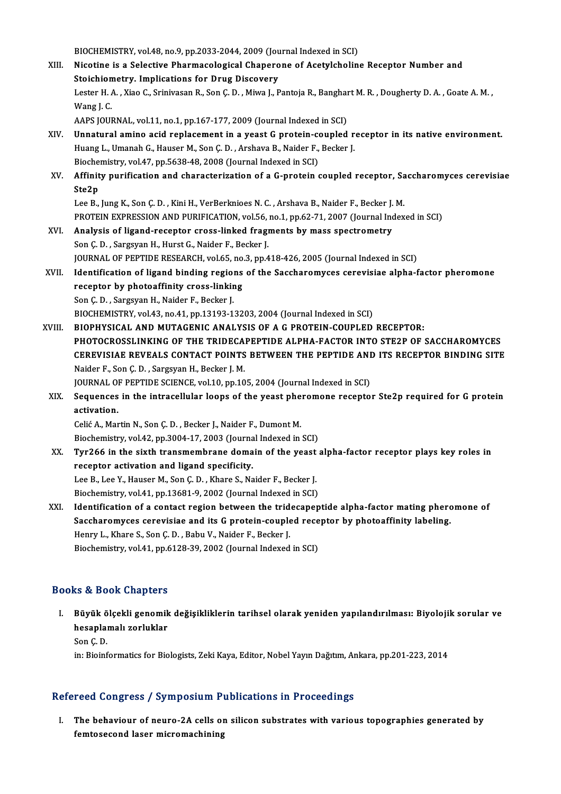- BIOCHEMISTRY, vol.48, no.9, pp.2033-2044, 2009 (Journal Indexed in SCI)<br>Nisatine is a Selestive Pharmacelegical Chanerone of Acetylshelin XIII. Nicotine is a Selective Pharmacological Chaperone of Acetylcholine Receptor Number and<br>Stoichiometry. Implications for Drug Discovery BIOCHEMISTRY, vol.48, no.9, pp.2033-2044, 2009 (Jou<br>Nicotine is a Selective Pharmacological Chapero<br>Stoichiometry. Implications for Drug Discovery Nicotine is a Selective Pharmacological Chaperone of Acetylcholine Receptor Number and<br>Stoichiometry. Implications for Drug Discovery<br>Lester H. A. , Xiao C., Srinivasan R., Son Ç. D. , Miwa J., Pantoja R., Banghart M. R. , Stoichion<br>Lester H. A<br>Wang J. C.<br>AAPS JOUR Lester H. A. , Xiao C., Srinivasan R., Son Ç. D. , Miwa J., Pantoja R., Banghar<br>Wang J. C.<br>AAPS JOURNAL, vol.11, no.1, pp.167-177, 2009 (Journal Indexed in SCI)<br>Unnatural amine asid replacement in a veast C protein, seunle Wang J. C.<br>AAPS JOURNAL, vol.11, no.1, pp.167-177, 2009 (Journal Indexed in SCI)<br>XIV. Unnatural amino acid replacement in a yeast G protein-coupled receptor in its native environment.<br>Huang L Umanah G. Hauser M. San G. D., AAPS JOURNAL, vol.11, no.1, pp.167-177, 2009 (Journal Indexed in SCI)<br>Unnatural amino acid replacement in a yeast G protein-coupled r<br>Huang L., Umanah G., Hauser M., Son Ç. D. , Arshava B., Naider F., Becker J.<br>Piechemistr Unnatural amino acid replacement in a yeast G protein-contained in the Huang L., Umanah G., Hauser M., Son C. D., Arshava B., Naider F.,<br>Biochemistry, vol.47, pp.5638-48, 2008 (Journal Indexed in SCI)<br>Affinity purification Huang L., Umanah G., Hauser M., Son Ç. D. , Arshava B., Naider F., Becker J.<br>Biochemistry, vol.47, pp.5638-48, 2008 (Journal Indexed in SCI)<br>XV. Affinity purification and characterization of a G-protein coupled recepto Bioche<br>Affinit<br>Ste2p Affinity purification and characterization of a G-protein coupled receptor, Sa<br>Ste2p<br>Lee B., Jung K., Son Ç. D. , Kini H., VerBerknioes N. C. , Arshava B., Naider F., Becker J. M.<br>PROTEIN EXPRESSION AND BURIEICATION vol 56 Ste2p<br>Lee B., Jung K., Son Ç. D. , Kini H., VerBerknioes N. C. , Arshava B., Naider F., Becker J. M.<br>PROTEIN EXPRESSION AND PURIFICATION, vol.56, no.1, pp.62-71, 2007 (Journal Indexed in SCI) Lee B., Jung K., Son Ç. D., Kini H., VerBerknioes N. C., Arshava B., Naider F., Becker J.<br>PROTEIN EXPRESSION AND PURIFICATION, vol.56, no.1, pp.62-71, 2007 (Journal Inc<br>XVI. Analysis of ligand-receptor cross-linked fragmen PROTEIN EXPRESSION AND PURIFICATION, vol.56,<br>Analysis of ligand-receptor cross-linked fragi<br>Son Ç. D. , Sargsyan H., Hurst G., Naider F., Becker J.<br>JOUPMAL OF PERTIDE PESEARCH vol.65, no.2, nn.4 Analysis of ligand-receptor cross-linked fragments by mass spectrometry<br>Son Ç. D. , Sargsyan H., Hurst G., Naider F., Becker J.<br>JOURNAL OF PEPTIDE RESEARCH, vol.65, no.3, pp.418-426, 2005 (Journal Indexed in SCI)<br>Identific Son Ç. D. , Sargsyan H., Hurst G., Naider F., Becker J.<br>JOURNAL OF PEPTIDE RESEARCH, vol.65, no.3, pp.418-426, 2005 (Journal Indexed in SCI)<br>XVII. Identification of ligand binding regions of the Saccharomyces cerevisiae al JOURNAL OF PEPTIDE RESEARCH, vol.65, no.<br>Identification of ligand binding regions<br>receptor by photoaffinity cross-linking<br>Sen G.D., Sengwan H. Neiden E. Beeken L Son Ç.D., Sargsyan H., Naider F., Becker J. BIOCHEMISTRY, vol.43, no.41, pp.13193-13203, 2004 (Journal Indexed in SCI) XVIII. BIOPHYSICAL AND MUTAGENIC ANALYSIS OF A G PROTEIN-COUPLED RECEPTOR: PHOTOCROSSLINKING OF THE TRIDECAPEPTIDE ALPHA-FACTOR INTO STE2P OF SACCHAROMYCES BIOPHYSICAL AND MUTAGENIC ANALYSIS OF A G PROTEIN-COUPLED RECEPTOR:<br>PHOTOCROSSLINKING OF THE TRIDECAPEPTIDE ALPHA-FACTOR INTO STE2P OF SACCHAROMYCES<br>CEREVISIAE REVEALS CONTACT POINTS BETWEEN THE PEPTIDE AND ITS RECEPTOR BI PHOTOCROSSLINKING OF THE TRIDECA.<br>CEREVISIAE REVEALS CONTACT POINTS<br>Naider F., Son Ç. D. , Sargsyan H., Becker J. M.<br>JOUPNAL OF PEPTIDE SCIENCE vol.1.0, pp.1.0. CEREVISIAE REVEALS CONTACT POINTS BETWEEN THE PEPTIDE ANI<br>Naider F., Son Ç. D. , Sargsyan H., Becker J. M.<br>JOURNAL OF PEPTIDE SCIENCE, vol.10, pp.105, 2004 (Journal Indexed in SCI)<br>Sequences in the intressllular leaps of t Naider F., Son Ç. D. , Sargsyan H., Becker J. M.<br>JOURNAL OF PEPTIDE SCIENCE, vol.10, pp.105, 2004 (Journal Indexed in SCI)<br>XIX. Sequences in the intracellular loops of the yeast pheromone receptor Ste2p required for G prot JOURNAL OF<br>Sequences<br>activation.<br>Colié A. Mor Celić A., Martin N., Son Ç. D., Becker J., Naider F., Dumont M. activation.<br>Celić A., Martin N., Son Ç. D. , Becker J., Naider F., Dumont M.<br>Biochemistry, vol.42, pp.3004-17, 2003 (Journal Indexed in SCI)<br>Tur266 in the sixth transmombrane demain of the veset :
	- XX. Tyr266 in the sixth transmembrane domain of the yeast alpha-factor receptor plays key roles in Biochemistry, vol.42, pp.3004-17, 2003 (Journa<br>Tyr266 in the sixth transmembrane doma<br>receptor activation and ligand specificity. Lee B., Lee Y., Hauser M., Son Ç. D., Khare S., Naider F., Becker J. Biochemistry, vol.41, pp.13681-9, 2002 (Journal Indexed in SCI) XXI. Identification of a contact region between the tridecapeptide alpha-factor mating pheromone of Biochemistry, vol.41, pp.13681-9, 2002 (Journal Indexed in SCI)<br>Identification of a contact region between the tridecapeptide alpha-factor mating phero<br>Saccharomyces cerevisiae and its G protein-coupled receptor by photoaf
	- Identification of a contact region between the trid<br>Saccharomyces cerevisiae and its G protein-couple<br>Henry L., Khare S., Son Ç. D. , Babu V., Naider F., Becker J.<br>Bioshamistwy vol 41, pp.6129, 20, 2002 (Jaurnal Indoved Saccharomyces cerevisiae and its G protein-coupled rece<br>Henry L., Khare S., Son Ç. D. , Babu V., Naider F., Becker J.<br>Biochemistry, vol.41, pp.6128-39, 2002 (Journal Indexed in SCI) Biochemistry, vol.41, pp.6128-39, 2002 (Journal Indexed in SCI)<br>Books & Book Chapters

I. Büyük ölçekli genomik değişikliklerin tarihsel olarak yeniden yapılandırılması: Biyolojik sorular ve hesa Doon Shapters<br>Büyük ölçekli genomik<br>hesaplamalı zorluklar<br>Sen C D Büyük ö<br>hesaplaı<br>Son Ç. D.<br>in: Bioinf hesaplamalı zorluklar<br>Son Ç. D.<br>in: Bioinformatics for Biologists, Zeki Kaya, Editor, Nobel Yayın Dağıtım, Ankara, pp.201-223, 2014

## Refereed Congress / Symposium Publications in Proceedings

efereed Congress / Symposium Publications in Proceedings<br>I. The behaviour of neuro-2A cells on silicon substrates with various topographies generated by<br>fontoseseed laser misromachining Feed dongress y by inpositum the<br>The behaviour of neuro-2A cells of<br>femtosecond laser micromachining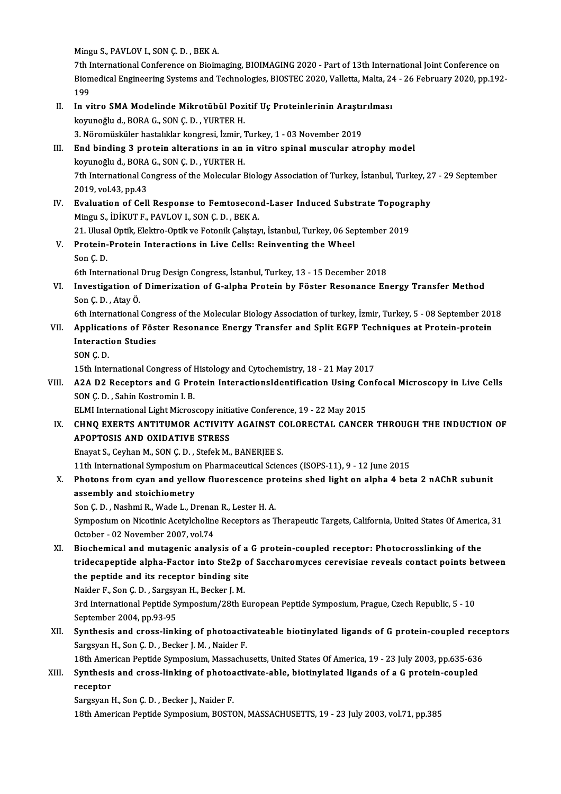Mingu S., PAVLOV I., SON Ç. D., BEK A.

7th International Conference on Bioimaging, BIOIMAGING 2020 - Part of 13th International Joint Conference on Mingu S., PAVLOV I., SON Ç. D. , BEK A.<br>7th International Conference on Bioimaging, BIOIMAGING 2020 - Part of 13th International Joint Conference on<br>Biomedical Engineering Systems and Technologies, BIOSTEC 2020, Valletta, 7th I<br>Biom<br>199<br>In vi Biomedical Engineering Systems and Technologies, BIOSTEC 2020, Valletta, Malta, 24<br>199<br>II. In vitro SMA Modelinde Mikrotübül Pozitif Uç Proteinlerinin Araştırılması<br>Ioyyuneğlu d. BOBA C. SON C.D. VIBTER H

- 199<br>In vitro SMA Modelinde Mikrotübül Pozi<br>koyunoğlu d., BORA G., SON Ç. D. , YURTER H.<br>2. Nöromüsküler bastalıklar konsresi, İzmir 5 In vitro SMA Modelinde Mikrotübül Pozitif Uç Proteinlerinin Araştıı<br>koyunoğlu d., BORA G., SON Ç. D. , YURTER H.<br>3. Nöromüsküler hastalıklar kongresi, İzmir, Turkey, 1 - 03 November 2019<br>End binding 3 protein alterations i 3. Nöromüsküler hastalıklar kongresi, İzmir, Turkey, 1 - 03 November 2019
- koyunoğlu d., BORA G., SON Ç. D. , YURTER H.<br>3. Nöromüsküler hastalıklar kongresi, İzmir, Turkey, 1 03 November 2019<br>III. End binding 3 protein alterations in an in vitro spinal muscular atrophy model<br>koyunoğlu d., BORA End binding 3 protein alterations in an in vitro spinal muscular atrophy model<br>koyunoğlu d., BORA G., SON Ç. D. , YURTER H.<br>7th International Congress of the Molecular Biology Association of Turkey, İstanbul, Turkey, 27 koyunoğlu d., BORA<br>7th International Co<br>2019, vol.43, pp.43<br>Evoluation of Coll Th International Congress of the Molecular Biology Association of Turkey, İstanbul, Turkey, 2<br>2019, vol.43, pp.43<br>IV. Evaluation of Cell Response to Femtosecond-Laser Induced Substrate Topography<br>Mingu S. IDIVITE, PAVLOV L
- 2019, vol.43, pp.43<br>IV. Evaluation of Cell Response to Femtosecond-Laser Induced Substrate Topography<br>Mingu S., İDİKUT F., PAVLOV I., SON Ç. D. , BEK A. Evaluation of Cell Response to Femtosecond-Laser Induced Substrate Topogram<br>Mingu S., İDİKUT F., PAVLOV I., SON Ç. D. , BEK A.<br>21. Ulusal Optik, Elektro-Optik ve Fotonik Çalıştayı, İstanbul, Turkey, 06 September 2019<br>Prote
- V. Protein-Protein Interactions in Live Cells: Reinventing the Wheel<br>Son C.D. 21 Ulusa<br>Protein-<br>Son Ç. D.<br><sup>6th Inter</sup> Protein-Protein Interactions in Live Cells: Reinventing the Wheel<br>Son Ç. D.<br>6th International Drug Design Congress, İstanbul, Turkey, 13 - 15 December 2018<br>Investigation of Dimerisation of C. alpha Bratein by Föster Besene
- VI. Investigation of Dimerization of G-alpha Protein by Föster Resonance Energy Transfer Method 6th International<br>Investigation of<br>Son Ç. D. , Atay Ö.<br>Eth International Investigation of Dimerization of G-alpha Protein by Föster Resonance Energy Transfer Method<br>Son Ç. D. , Atay Ö.<br>6th International Congress of the Molecular Biology Association of turkey, İzmir, Turkey, 5 - 08 September 201

## Son Ç. D. , Atay Ö.<br>6th International Congress of the Molecular Biology Association of turkey, İzmir, Turkey, 5 - 08 September 201<br>VII. Applications of Föster Resonance Energy Transfer and Split EGFP Techniques at Prot 6th International Cong<br>Applications of Fös<br>Interaction Studies<br>SON C D VII. Applications of Föster Resonance Energy Transfer and Split EGFP Techniques at Protein-protein<br>Interaction Studies<br>SON C.D.

15th International Congress of Histology and Cytochemistry, 18 - 21 May 2017

SON Ç. D.<br>15th International Congress of Histology and Cytochemistry, 18 - 21 May 2017<br>VIII. A2A D2 Receptors and G Protein InteractionsIdentification Using Confocal Microscopy in Live Cells<br>SON C.D. Sobin Kestromin L.B 15th International Congress of I<br>A2A D2 Receptors and G Pro<br>SON Ç. D. , Sahin Kostromin I. B.<br>ELM International Light Micros A2A D2 Receptors and G Protein InteractionsIdentification Using Co<br>SON Ç. D. , Sahin Kostromin I. B.<br>ELMI International Light Microscopy initiative Conference, 19 - 22 May 2015<br>CHNO EXERTS ANTITUMOR ACTIVITY ACAINST COLORE

SON Ç. D. , Sahin Kostromin I. B.<br>ELMI International Light Microscopy initiative Conference, 19 - 22 May 2015<br>IX. CHNQ EXERTS AND OVIDATIVE STRESS ELMI International Light Microscopy initional<br>CHNQ EXERTS ANTITUMOR ACTIVITY<br>APOPTOSIS AND OXIDATIVE STRESS CHNQ EXERTS ANTITUMOR ACTIVITY AGAINST C<br>APOPTOSIS AND OXIDATIVE STRESS<br>Enayat S., Ceyhan M., SON Ç. D. , Stefek M., BANERJEE S.<br>11th International Sumperium on Pharmaceutical Scien 11th International Symposium International Symposium on Pharmaceutical Sciences (ISOPS-11), 9 - 12 June 2015<br>11th International Symposium on Pharmaceutical Sciences (ISOPS-11), 9 - 12 June 2015

Enayat S., Ceyhan M., SON Ç. D. , Stefek M., BANERJEE S.<br>11th International Symposium on Pharmaceutical Sciences (ISOPS-11), 9 - 12 June 2015<br>X. Photons from cyan and yellow fluorescence proteins shed light on alpha 4 beta assembly and stoichiometry<br>Son Ç. D. , Nashmi R., Wade L., Drenan R., Lester H. A. Photons from cyan and yellow fluorescence pro<br>assembly and stoichiometry<br>Son Ç. D. , Nashmi R., Wade L., Drenan R., Lester H. A.<br>Symposium on Nisatinia Acatylsheline Besenters os T

assembly and stoichiometry<br>Son Ç. D. , Nashmi R., Wade L., Drenan R., Lester H. A.<br>Symposium on Nicotinic Acetylcholine Receptors as Therapeutic Targets, California, United States Of America, 31<br>Ostaber, 03 Nevember 2007, Son Ç. D. , Nashmi R., Wade L., Drenar<br>Symposium on Nicotinic Acetylcholine<br>October - 02 November 2007, vol.74<br>Bioshamical and mutaganis analy Symposium on Nicotinic Acetylcholine Receptors as Therapeutic Targets, California, United States Of Americ<br>October - 02 November 2007, vol.74<br>XI. Biochemical and mutagenic analysis of a G protein-coupled receptor: Photocro

October - 02 November 2007, vol.74<br>Biochemical and mutagenic analysis of a G protein-coupled receptor: Photocrosslinking of the<br>tridecapeptide apd its resenter binding site<br>the pentide and its resenter binding site Biochemical and mutagenic analysis of a<br>tridecapeptide alpha-Factor into Ste2p of<br>the peptide and its receptor binding site<br>Naider E. Son G.D., Sarggyan H. Becker L.M. tridecapeptide alpha-Factor into Ste2p<br>the peptide and its receptor binding site<br>Naider F., Son Ç. D. , Sargsyan H., Becker J. M.<br>2nd International Bontide Symposium (20th E

the peptide and its receptor binding site<br>Naider F., Son Ç. D. , Sargsyan H., Becker J. M.<br>3rd International Peptide Symposium/28th European Peptide Symposium, Prague, Czech Republic, 5 - 10<br>September 2004, pp.92.95 Naider F., Son Ç. D. , Sargsy;<br>3rd International Peptide S:<br>September 2004, pp.93-95<br>Synthesis and srees link 3rd International Peptide Symposium/28th European Peptide Symposium, Prague, Czech Republic, 5 - 10<br>September 2004, pp.93-95<br>XII. Synthesis and cross-linking of photoactivateable biotinylated ligands of G protein-coupled r

September 2004, pp.93-95<br>Synthesis and cross-linking of photoacti<br>Sargsyan H., Son Ç. D. , Becker J. M. , Naider F.<br>19th American Bontide Symposium Massachu Synthesis and cross-linking of photoactivateable biotinylated ligands of G protein-coupled rece<br>Sargsyan H., Son Ç. D. , Becker J. M. , Naider F.<br>18th American Peptide Symposium, Massachusetts, United States Of America, 19

## 18th American Peptide Symposium, Massachusetts, United States Of America, 19 - 23 July 2003, pp.635-636

# Sargsyan H., Son Ç. D., Becker J. M., Naider F.<br>18th American Peptide Symposium, Massachusetts, United States Of America, 19 - 23 July 2003, pp.635-636<br>XIII. Synthesis and cross-linking of photoactivate-able, biotinylated

Sargsyan H., Son Ç. D., Becker J., Naider F.

18th American Peptide Symposium, BOSTON, MASSACHUSETTS, 19 - 23 July 2003, vol.71, pp.385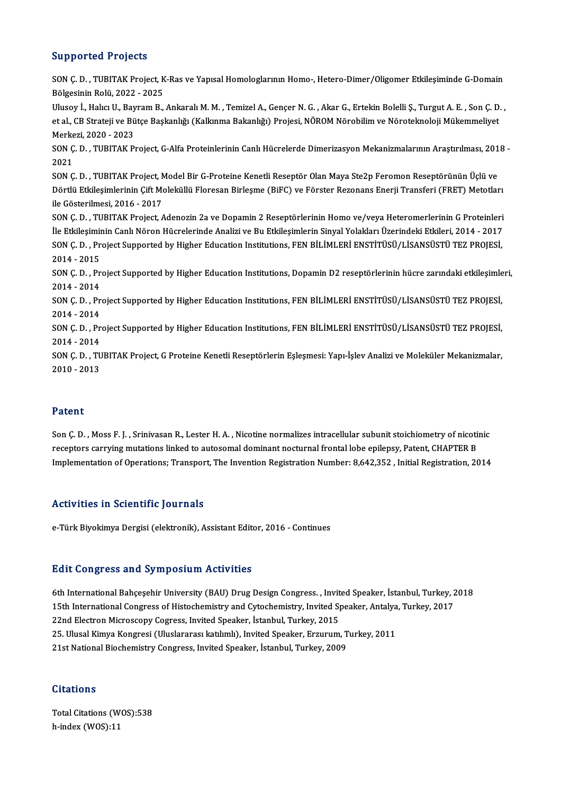## Supported Projects

Supported Projects<br>SON Ç. D. , TUBITAK Project, K-Ras ve Yapısal Homologlarının Homo-, Hetero-Dimer/Oligomer Etkileşiminde G-Domain<br>Bölgesinin Relü 2022, 2025 Bölgesinin Rolü, 2022 -<br>Bölgesinin Rolü, 2022 - 2025<br>Hlusev İ. Halva II. Bayram B SON Ç. D. , TUBITAK Project, K-Ras ve Yapısal Homologlarının Homo-, Hetero-Dimer/Oligomer Etkileşiminde G-Domain<br>Bölgesinin Rolü, 2022 - 2025<br>Ulusoy İ., Halıcı U., Bayram B., Ankaralı M. M. , Temizel A., Gençer N. G. , Aka Bölgesinin Rolü, 2022 - 2025<br>Ulusoy İ., Halıcı U., Bayram B., Ankaralı M. M. , Temizel A., Gençer N. G. , Akar G., Ertekin Bolelli Ş., Turgut A. E. , Son Ç. D.<br>et al., CB Strateji ve Bütçe Başkanlığı (Kalkınma Bakanlığı) P Ulusoy İ., Halıcı U., Bay<br>et al., CB Strateji ve Bü<br>Merkezi, 2020 - 2023<br>SON G. D., TUBITAK B et al., CB Strateji ve Bütçe Başkanlığı (Kalkınma Bakanlığı) Projesi, NÖROM Nörobilim ve Nöroteknoloji Mükemmeliyet<br>Merkezi, 2020 - 2023<br>SON Ç. D. , TUBITAK Project, G-Alfa Proteinlerinin Canlı Hücrelerde Dimerizasyon Meka Merke<br>SON Ç<br>2021<br>SON Ç SON Ç. D. , TUBITAK Project, G-Alfa Proteinlerinin Canlı Hücrelerde Dimerizasyon Mekanizmalarının Araştırılması, 201<br>2021<br>SON Ç. D. , TUBITAK Project, Model Bir G-Proteine Kenetli Reseptör Olan Maya Ste2p Feromon Reseptörü 2021<br>SON Ç. D. , TUBITAK Project, Model Bir G-Proteine Kenetli Reseptör Olan Maya Ste2p Feromon Reseptörünün Üçlü ve<br>Dörtlü Etkileşimlerinin Çift Moleküllü Floresan Birleşme (BiFC) ve Förster Rezonans Enerji Transferi (FRE SON Ç. D. , TUBITAK Project, N<br>Dörtlü Etkileşimlerinin Çift Mo<br>ile Gösterilmesi, 2016 - 2017<br>SON C. D. - TUBITAK Project Dörtlü Etkileşimlerinin Çift Moleküllü Floresan Birleşme (BiFC) ve Förster Rezonans Enerji Transferi (FRET) Metotları<br>ile Gösterilmesi, 2016 - 2017<br>SON Ç. D. , TUBITAK Project, Adenozin 2a ve Dopamin 2 Reseptörlerinin Homo ile Gösterilmesi, 2016 - 2017<br>SON Ç. D. , TUBITAK Project, Adenozin 2a ve Dopamin 2 Reseptörlerinin Homo ve/veya Heteromerlerinin G Proteinleri<br>İle Etkileşiminin Canlı Nöron Hücrelerinde Analizi ve Bu Etkileşimlerin Sinyal SON Ç. D. , TUBITAK Project, Adenozin 2a ve Dopamin 2 Reseptörlerinin Homo ve/veya Heteromerlerinin G Proteinleri<br>İle Etkileşiminin Canlı Nöron Hücrelerinde Analizi ve Bu Etkileşimlerin Sinyal Yolakları Üzerindeki Etkileri ile Etkileşimin<br>2014 - 2015<br>2014 - 2015 SON Ç. D. , Project Supported by Higher Education Institutions, FEN BİLİMLERİ ENSTİTÜSÜ/LİSANSÜSTÜ TEZ PROJESİ,<br>2014 - 2015<br>SON Ç. D. , Project Supported by Higher Education Institutions, Dopamin D2 reseptörlerinin hücre z 2014 - 2015<br>SON Ç. D. , Pr<br>2014 - 2014<br>SON C. D. Pr SON Ç. D. , Project Supported by Higher Education Institutions, Dopamin D2 reseptörlerinin hücre zarındaki etkileşimle<br>2014 - 2014<br>SON Ç. D. , Project Supported by Higher Education Institutions, FEN BİLİMLERİ ENSTİTÜSÜ/LİS 2014 - 2014<br>SON Ç. D. , Pr<br>2014 - 2014<br>SON C. D. - Pr SON Ç. D. , Project Supported by Higher Education Institutions, FEN BİLİMLERİ ENSTİTÜSÜ/LİSANSÜSTÜ TEZ PROJESİ,<br>2014 - 2014<br>SON Ç. D. , Project Supported by Higher Education Institutions, FEN BİLİMLERİ ENSTİTÜSÜ/LİSANSÜSTÜ 2014 - 2014<br>SON Ç. D. , Project Supported by Higher Education Institutions, FEN BİLİMLERİ ENSTİTÜSÜ/LİSANSÜSTÜ TEZ PROJESİ,<br>2014 - 2014 SON Ç. D. , Project Supported by Higher Education Institutions, FEN BİLİMLERİ ENSTİTÜSÜ/LİSANSÜSTÜ TEZ PROJESİ,<br>2014 - 2014<br>SON Ç. D. , TUBITAK Project, G Proteine Kenetli Reseptörlerin Eşleşmesi: Yapı-İşlev Analizi ve Mol 2014 - 2014<br>SON Ç. D. , TU<br>2010 - 2013 2010 - 2013<br>Patent

Son Ç.D., Moss F.J., Srinivasan R., Lester H.A., Nicotine normalizes intracellular subunit stoichiometry of nicotinic recent<br>Son Ç. D. , Moss F. J. , Srinivasan R., Lester H. A. , Nicotine normalizes intracellular subunit stoichiometry of nicotii<br>receptors carrying mutations linked to autosomal dominant nocturnal frontal lobe epilepsy, Pa Son Ç. D. , Moss F. J. , Srinivasan R., Lester H. A. , Nicotine normalizes intracellular subunit stoichiometry of nicotinic<br>receptors carrying mutations linked to autosomal dominant nocturnal frontal lobe epilepsy, Patent, Implementation of Operations; Transport, The Invention Registration Number: 8,642,352 , Initial Registration, 2014<br>Activities in Scientific Journals

e-Türk Biyokimya Dergisi (elektronik), Assistant Editor, 2016 - Continues

## **Edit Congress and Symposium Activities**

Edit Congress and Symposium Activities<br>6th International Bahçeşehir University (BAU) Drug Design Congress. , Invited Speaker, İstanbul, Turkey, 2018<br>15th International Congress of Histochemistry and Cytochemistry, Invited 15th International Bahçeşehir University (BAU) Drug Design Congress. , Invited Speaker, İstanbul, Turkey, 2017<br>15th International Congress of Histochemistry and Cytochemistry, Invited Speaker, Antalya, Turkey, 2017<br>22nd El 6th International Bahçeşehir University (BAU) Drug Design Congress. , Invit<br>15th International Congress of Histochemistry and Cytochemistry, Invited Sp<br>22nd Electron Microscopy Cogress, Invited Speaker, İstanbul, Turkey, 2 15th International Congress of Histochemistry and Cytochemistry, Invited Speaker, Antalya<br>22nd Electron Microscopy Cogress, Invited Speaker, İstanbul, Turkey, 2015<br>25. Ulusal Kimya Kongresi (Uluslararası katılımlı), Invite 22nd Electron Microscopy Cogress, Invited Speaker, İstanbul, Turkey, 2015<br>25. Ulusal Kimya Kongresi (Uluslararası katılımlı), Invited Speaker, Erzurum, T<br>21st National Biochemistry Congress, Invited Speaker, İstanbul, Turk 21st National Biochemistry Congress, Invited Speaker, İstanbul, Turkey, 2009<br>Citations

Total Citations (WOS):538 h-index (WOS):11